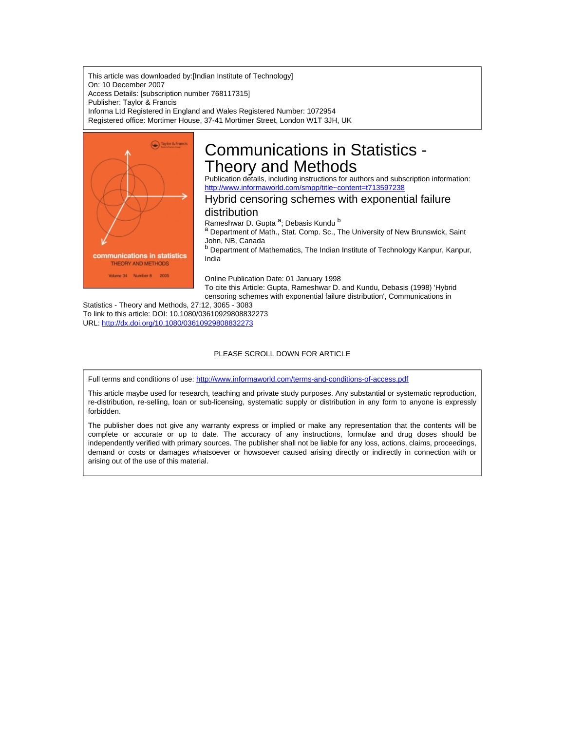This article was downloaded by:[Indian Institute of Technology] On: 10 December 2007 Access Details: [subscription number 768117315] Publisher: Taylor & Francis Informa Ltd Registered in England and Wales Registered Number: 1072954 Registered office: Mortimer House, 37-41 Mortimer Street, London W1T 3JH, UK



# Communications in Statistics - Theory and Methods

Publication details, including instructions for authors and subscription information: <http://www.informaworld.com/smpp/title~content=t713597238>

## Hybrid censoring schemes with exponential failure

## distribution

Rameshwar D. Gupta <sup>a</sup>; Debasis Kundu <sup>b</sup>

a Department of Math., Stat. Comp. Sc., The University of New Brunswick, Saint John, NB, Canada

**b** Department of Mathematics, The Indian Institute of Technology Kanpur, Kanpur, India

Online Publication Date: 01 January 1998

To cite this Article: Gupta, Rameshwar D. and Kundu, Debasis (1998) 'Hybrid censoring schemes with exponential failure distribution', Communications in

Statistics - Theory and Methods, 27:12, 3065 - 3083 To link to this article: DOI: 10.1080/03610929808832273 URL: <http://dx.doi.org/10.1080/03610929808832273>

#### PLEASE SCROLL DOWN FOR ARTICLE

Full terms and conditions of use: <http://www.informaworld.com/terms-and-conditions-of-access.pdf>

This article maybe used for research, teaching and private study purposes. Any substantial or systematic reproduction, re-distribution, re-selling, loan or sub-licensing, systematic supply or distribution in any form to anyone is expressly forbidden.

The publisher does not give any warranty express or implied or make any representation that the contents will be complete or accurate or up to date. The accuracy of any instructions, formulae and drug doses should be independently verified with primary sources. The publisher shall not be liable for any loss, actions, claims, proceedings, demand or costs or damages whatsoever or howsoever caused arising directly or indirectly in connection with or arising out of the use of this material.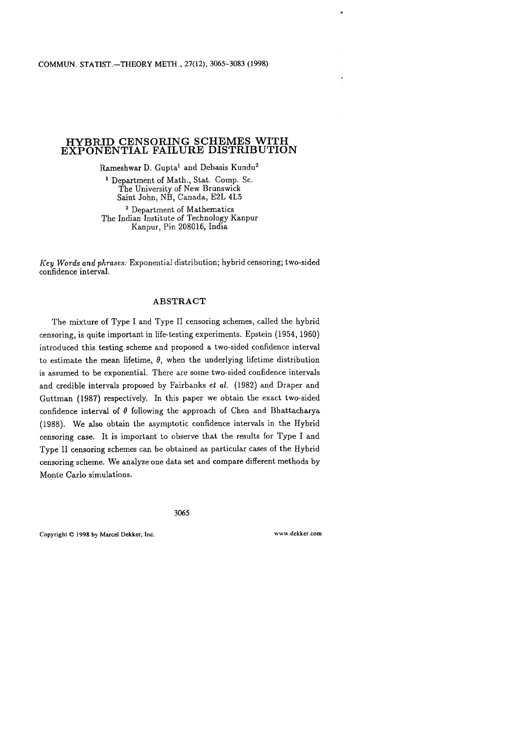## **HYBRID CENSORING SCHEMES WITH EXPONENTIAL FAILURE DISTRIBUTION**

Rameshwar D. Gupta<sup>1</sup> and Debasis Kundu<sup>2</sup>

Department of Math., Stat. Comp. Sc. The University of New Brunswick Saint John, NB, Canada, E2L 4L5

Department of Mathematics The Indian Institute of Technology Kanpur Kanpur, Pin 208016, India

*Key Words and phrases:* Exponential distribution; hybrid censoring; two-sided confidence interval.

## **ABSTRACT**

The mixture of Type I and Type II censoring schemes, called the hybrid censoring, is quite important in life-testing experiments. Epstein (1954, 1960) introduced this testing scheme and proposed a two-sided confidence interval to estimate the mean lifetime,  $\theta$ , when the underlying lifetime distribution is assumed to be exponential. There are some two-sided confidence intervals and credible intervals proposed by Fairbanks *et al.* (1982) and Draper and Guttman (1987) respectively. In this paper we obtain the exact two-sided confidence interval of  $\theta$  following the approach of Chen and Bhattacharya (1988). We also obtain the asymptotic confidence intervals in the Hybrid censoring case. It is important to observe that the results for Type I and Type I1 censoring schemes can be obtained as particular cases of the Hybrid censoring scheme. We analyze one data set and compare different methods by Monte Carlo simulations.

**3065** 

**Copyright** O **1998 by Marcel Dekker, Inc.** 

www.dekker.com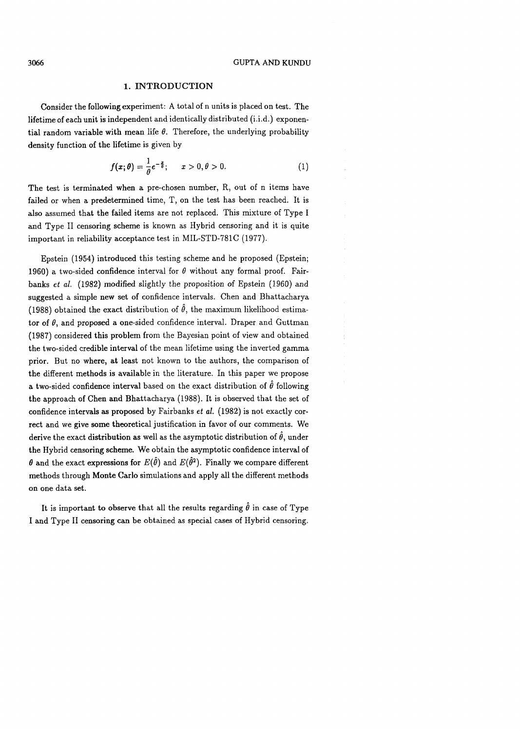## **1. INTRODUCTION**

Consider the following experiment: **A** total of n units is placed on test. The lifetime of each unit is independent and identically distributed (i.i.d.) exponential random variable with mean life  $\theta$ . Therefore, the underlying probability density function of the lifetime is given by

$$
f(x; \theta) = \frac{1}{\theta} e^{-\frac{x}{\theta}}; \qquad x > 0, \theta > 0.
$$
 (1)

The test is terminated when a pre-chosen number, R, out of n items have failed or when a predetermined time, T, on the test has been reached. It is also assumed that the failed items are not replaced. This mixture of Type I and Type I1 censoring scheme is known as Hybrid censoring and it is quite important in reliability acceptance test in MIL-STD-781C (1977).

Epstein (1954) introduced this testing scheme and he proposed (Epstein; 1960) a two-sided confidence interval for  $\theta$  without any formal proof. Fairbanks et al. (1982) modified slightly the proposition of Epstein (1960) and suggested a simple new set of confidence intervals. Chen and Bhattacharya (1988) obtained the exact distribution of  $\hat{\theta}$ , the maximum likelihood estimator of  $\theta$ , and proposed a one-sided confidence interval. Draper and Guttman (1987) considered this problem from the Bayesian point of view and obtained the two-sided credible interval of the mean lifetime using the inverted gamma prior. But no where, at least not known to the authors, the comparison of the different methods is available in the literature. In this paper we propose a two-sided confidence interval based on the exact distribution of  $\hat{\theta}$  following the approach of Chen and Bhattacharya (1988). It is observed that the set of confidence intervals as proposed by Fairbanks et al. (1982) is not exactly correct and we give some theoretical justification in favor of our comments. We derive the exact distribution as well as the asymptotic distribution of  $\hat{\theta}$ , under the Hybrid censoring scheme. We obtain the asymptotic confidence interval of  $\theta$  and the exact expressions for  $E(\hat{\theta})$  and  $E(\hat{\theta}^2)$ . Finally we compare different methods through Monte Carlo simulations and apply all the different methods on one data set.

It is important to observe that all the results regarding  $\hat{\theta}$  in case of Type I and Type I1 censoring can be obtained as special cases of Hybrid censoring.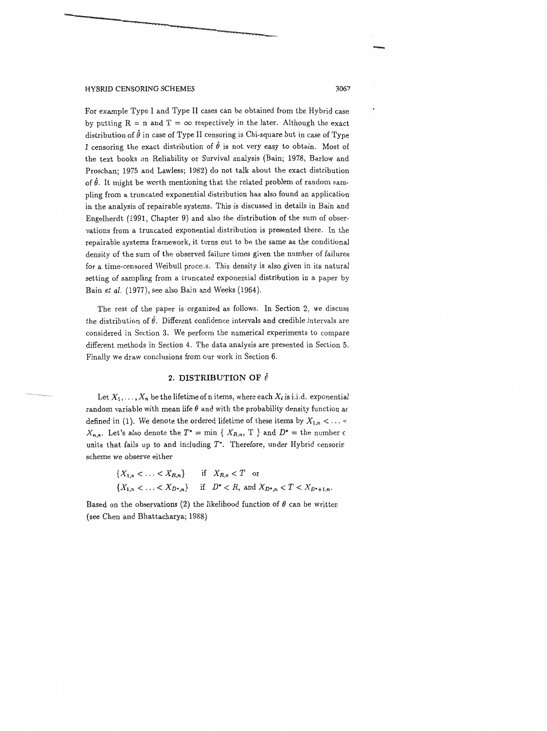For example Type I and Type I1 cases can be obtained from the Hybrid case by putting  $R = n$  and  $T = \infty$  respectively in the later. Although the exact distribution of  $\hat{\theta}$  in case of Type II censoring is Chi-square but in case of Type I censoring the exact distribution of  $\hat{\theta}$  is not very easy to obtain. Most of the text books on Reliability or Survival analysis (Bain; 1978, Barlow and Proschan; 1975 and Lawless; 1982) do not talk about the exact distribution of  $\hat{\theta}$ . It might be worth mentioning that the related problem of random sampling from a truncated exponential distribution has also found an application in the analysis of repairable systems. This is discussed in details in Bain and Engelherdt (1991, Chapter 9) and also the distribution of the sum of observations from a truncated exponential distribution is presented there. In the repairable systems framework, it turns out to be the same as the conditional density of the sum of the observed failure times given the number of failures for a time-censored Weibull process. This density is also given in its natural setting of sampling from a truncated exponential distribution in a paper by Bain et *al.* (1977), see also Bain and Weeks (1964).

The rest of the paper is organized as follows. In Section 2, we discuss the distribution of  $\hat{\theta}$ . Different confidence intervals and credible intervals are considered in Section **3.** We perform the numerical experiments to compare different methods in Section 4. The data analysis are presented in Section *5.*  Finally we draw conclusions from our work in Section 6.

## **2. DISTRIBUTION OF**  $\hat{\theta}$

Let  $X_1, \ldots, X_n$  be the lifetime of n items, where each  $X_i$  is i.i.d. exponential random variable with mean life  $\theta$  and with the probability density function as defined in (1). We denote the ordered lifetime of these items by  $X_{1,n} < \ldots <$  $X_{n,n}$ . Let's also denote the  $T^* = \min \{ X_{R,n}, T \}$  and  $D^* =$  the number c units that fails up to and including *T'.* Therefore, under Hybrid censorin scheme we observe either

$$
\begin{aligned} \{X_{1,n} < \ldots < X_{R,n}\} &\quad \text{if} \quad X_{R,n} < T \quad \text{or} \\ \{X_{1,n} < \ldots < X_{D^*,n}\} &\quad \text{if} \quad D^* < R, \text{ and } X_{D^*,n} < T < X_{D^*+1,n}. \end{aligned}
$$

Based on the observations (2) the likelihood function of  $\theta$  can be written (see Chen and Bhattacharya; 1988)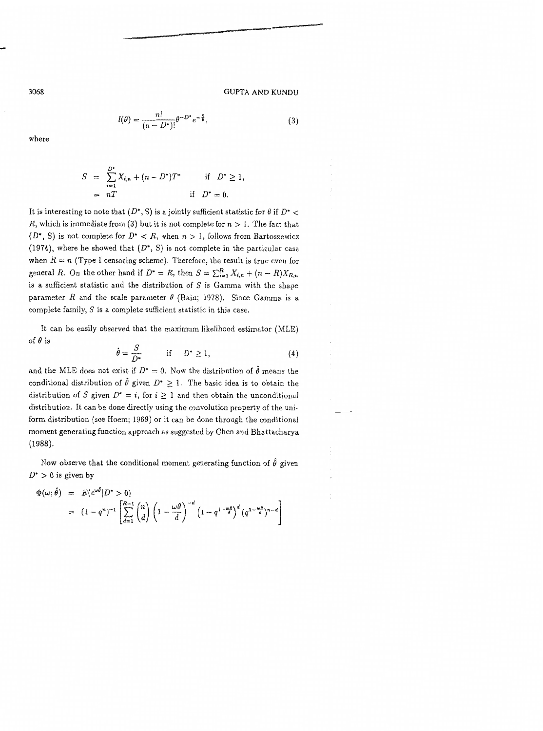(3)

where

Downloaded By: [Indian Institute of Technology] At: 05:03 10 December 2007

$$
(n-D^*)!
$$

$$
S = \sum_{i=1}^{D^*} X_{i,n} + (n - D^*)T^* \quad \text{if} \quad D^* \ge 1,
$$
  
=  $nT$  \quad \text{if} \quad D^\* = 0.

 $l(\theta) = \frac{n!}{\theta^{-D^*}e^{-\frac{S}{\theta}}}$ 

It is interesting to note that  $(D^*, S)$  is a jointly sufficient statistic for  $\theta$  if  $D^*$  < R, which is immediate from (3) but it is not complete for  $n > 1$ . The fact that  $(D^*, S)$  is not complete for  $D^* < R$ , when  $n > 1$ , follows from Bartoszewicz (1974), where he showed that  $(D^*, S)$  is not complete in the particular case when  $R = n$  (Type I censoring scheme). Therefore, the result is true even for general R. On the other hand if  $D^* = R$ , then  $S = \sum_{i=1}^R X_{i,n} + (n - R)X_{R,n}$ is a sufficient statistic and the distribution of  $S$  is Gamma with the shape parameter *R* and the scale parameter  $\theta$  (Bain; 1978). Since Gamma is a complete family,  $S$  is a complete sufficient statistic in this case.

It can be easily observed that the maximum likelihood estimator (MLE) of **0** is

$$
\hat{\theta} = \frac{S}{D^*} \qquad \text{if} \qquad D^* \ge 1,\tag{4}
$$

and the MLE does not exist if  $D^* = 0$ . Now the distribution of  $\hat{\theta}$  means the conditional distribution of  $\hat{\theta}$  given  $D^*$  > 1. The basic idea is to obtain the distribution of S given  $D^* = i$ , for  $i \ge 1$  and then obtain the unconditional distribution. It can be done directly using the convolution property of the uniform distribution (see Hoem; 1969) or it can be done through the conditional moment generating function approach as suggested by Chen and Bhattacharya (1988).

Now observe that the conditional moment generating function of  $\hat{\theta}$  given  $D^* > 0$  is given by

$$
\Phi(\omega;\hat{\theta}) = E(e^{\omega\hat{\theta}}|D^* > 0)
$$
  
=  $(1-q^n)^{-1} \left[ \sum_{d=1}^{R-1} {n \choose d} \left(1 - \frac{\omega\theta}{d}\right)^{-d} \left(1 - q^{1 - \frac{\omega\theta}{d}}\right)^d (q^{1 - \frac{\omega\theta}{d}})^{n-d} \right]$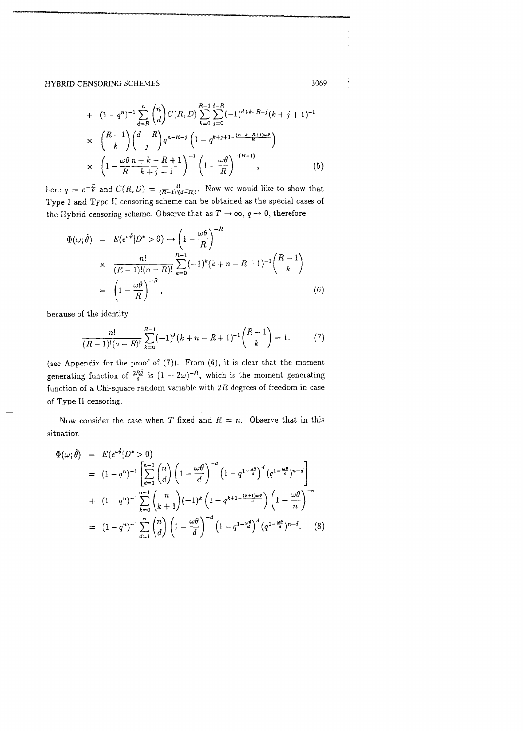+ 
$$
(1 - q^n)^{-1} \sum_{d=R}^{n} {n \choose d} C(R, D) \sum_{k=0}^{R-1} \sum_{j=0}^{d-R} (-1)^{d+k-R-j} (k+j+1)^{-1}
$$
  
\n $\times \left( \begin{array}{c} R-1 \\ k \end{array} \right) {d-R \choose j} q^{n-R-j} \left( 1 - q^{k+j+1-\frac{(n+k-R+1)\omega\theta}{R}} \right)$   
\n $\times \left( 1 - \frac{\omega\theta}{R} \frac{n+k-R+1}{k+j+1} \right)^{-1} \left( 1 - \frac{\omega\theta}{R} \right)^{-(R-1)},$  (5)

here  $q = e^{-\frac{T}{\theta}}$  and  $C(R, D) = \frac{d!}{(R-1)!(d-R)!}$ . Now we would like to show that Type I and Type I1 censoring scheme can be obtained as the special cases of the Hybrid censoring scheme. Observe that as  $T \to \infty$ ,  $q \to 0$ , therefore

$$
\Phi(\omega;\hat{\theta}) = E(e^{\omega\hat{\theta}}|D^* > 0) \rightarrow \left(1 - \frac{\omega\theta}{R}\right)^{-R}
$$
\n
$$
\times \frac{n!}{(R-1)!(n-R)!} \sum_{k=0}^{R-1} (-1)^k (k+n-R+1)^{-1} {R-1 \choose k}
$$
\n
$$
= \left(1 - \frac{\omega\theta}{R}\right)^{-R}, \tag{6}
$$

because of the identity

$$
\frac{n!}{(R-1)!(n-R)!} \sum_{k=0}^{R-1} (-1)^k (k+n-R+1)^{-1} \binom{R-1}{k} = 1.
$$
 (7)

(see Appendix for the proof of *(7)).* From *(6),* it is clear that the moment generating function of  $\frac{2R\hat{\theta}}{\theta}$  is  $(1 - 2\omega)^{-R}$ , which is the moment generating function of a Chi-square random variable with *2R* degrees of freedom in case of Type I1 censoring.

Now consider the case when T fixed and  $R = n$ . Observe that in this situation

$$
\Phi(\omega;\hat{\theta}) = E(e^{\omega\hat{\theta}}|D^* > 0)
$$
\n
$$
= (1 - q^n)^{-1} \left[ \sum_{d=1}^{n-1} {n \choose d} \left( 1 - \frac{\omega\theta}{d} \right)^{-d} \left( 1 - q^{1 - \frac{\omega\theta}{d}} \right)^d \left( q^{1 - \frac{\omega\theta}{d}} \right)^{n-d} \right]
$$
\n
$$
+ (1 - q^n)^{-1} \sum_{k=0}^{n-1} {n \choose k+1} (-1)^k \left( 1 - q^{k+1 - \frac{(k+1)\omega\theta}{n}} \right) \left( 1 - \frac{\omega\theta}{n} \right)^{-n}
$$
\n
$$
= (1 - q^n)^{-1} \sum_{d=1}^n {n \choose d} \left( 1 - \frac{\omega\theta}{d} \right)^{-d} \left( 1 - q^{1 - \frac{\omega\theta}{d}} \right)^d \left( q^{1 - \frac{\omega\theta}{d}} \right)^{n-d} . \tag{8}
$$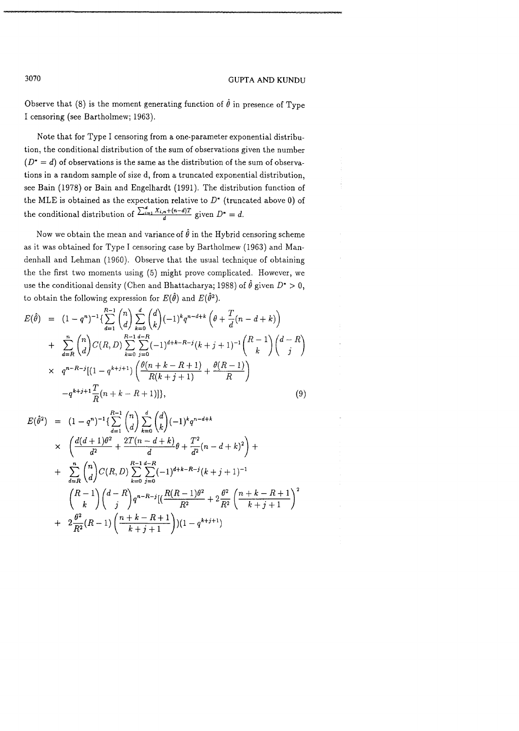Observe that  $(8)$  is the moment generating function of  $\hat{\theta}$  in presence of Type I censoring (see Bartholmew; *1963).* 

Note that for Type I censoring from a one-parameter exponential distribution, the conditional distribution of the sum of observations given the number  $(D^* = d)$  of observations is the same as the distribution of the sum of observations in a random sample of size d, from a truncated exponential distribution, see Bain *(1978)* or Bain and Engelhardt *(1991).* The distribution function of the MLE is obtained as the expectation relative to  $D^*$  (truncated above 0) of the conditional distribution of  $\frac{\sum_{i=1}^{d} X_{i,n} + (n-d)T}{d}$  given  $D^* = d$ .

Now we obtain the mean and variance of  $\hat{\theta}$  in the Hybrid censoring scheme as it was obtained for Type I censoring case by Bartholmew *(1963)* and Mandenhall and Lehman *(1960).* Observe that the usual technique of obtaining the the first two moments using (5) might prove complicated. However, we use the conditional density (Chen and Bhattacharya; 1988) of  $\hat{\theta}$  given  $D^* > 0$ , to obtain the following expression for  $E(\theta)$  and  $E(\theta^2).$ 

use the conditional density (Other and Inatotically a, 1966) of b given 
$$
D > 0
$$
,  
\nto obtain the following expression for  $E(\hat{\theta})$  and  $E(\hat{\theta}^2)$ .  
\n
$$
E(\hat{\theta}) = (1 - q^n)^{-1} \left\{ \sum_{d=1}^{R-1} {n \choose d} \sum_{k=0}^{d} {d \choose k} (-1)^k q^{n-d+k} \left( \theta + \frac{T}{d}(n-d+k) \right) + \sum_{d=R}^{n} {n \choose d} C(R, D) \sum_{k=0}^{R-1} \sum_{j=0}^{d-R} (-1)^{d+k-R-j} (k+j+1)^{-1} {R-1 \choose k} {d-R \choose j} + q^{n-R-j} [(1 - q^{k+j+1}) \left( \frac{\theta(n+k-R+1)}{R(k+j+1)} + \frac{\theta(R-1)}{R} \right) - q^{k+j+1} \frac{T}{R} (n+k-R+1)] \right\},
$$
\n(9)

$$
E(\hat{\theta}^{2}) = (1 - q^{n})^{-1} \left\{ \sum_{d=1}^{R-1} {n \choose d} \sum_{k=0}^{d} {d \choose k} (-1)^{k} q^{n-d+k} \right\}
$$
  
 
$$
\times \left( \frac{d(d+1)\theta^{2}}{d^{2}} + \frac{2T(n-d+k)}{d} \theta + \frac{T^{2}}{d^{2}}(n-d+k)^{2} \right) +
$$
  
+ 
$$
\sum_{d=R}^{n} {n \choose d} C(R, D) \sum_{k=0}^{R-1} \sum_{j=0}^{d-R} (-1)^{d+k-R-j} (k+j+1)^{-1}
$$
  

$$
\left( \frac{R-1}{k} \right) {d-R \choose j} q^{n-R-j} \left[ \frac{R(R-1)\theta^{2}}{R^{2}} + 2 \frac{\theta^{2}}{R^{2}} \left( \frac{n+k-R+1}{k+j+1} \right)^{2} + 2 \frac{\theta^{2}}{R^{2}} (R-1) \left( \frac{n+k-R+1}{k+j+1} \right) (1 - q^{k+j+1})
$$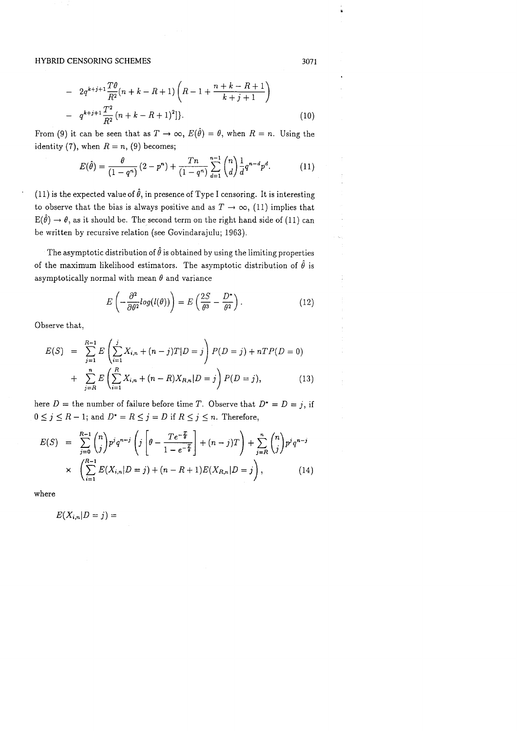$$
- 2q^{k+j+1}\frac{T\theta}{R^2}(n+k-R+1)\left(R-1+\frac{n+k-R+1}{k+j+1}\right)
$$

$$
- q^{k+j+1}\frac{T^2}{R^2}(n+k-R+1)^2]\}.
$$
(10)

From (9) it can be seen that as  $T \to \infty$ ,  $E(\hat{\theta}) = \theta$ , when  $R = n$ . Using the identity (7), when  $R = n$ , (9) becomes;

$$
E(\hat{\theta}) = \frac{\theta}{(1-q^n)} (2-p^n) + \frac{Tn}{(1-q^n)} \sum_{d=1}^{n-1} {n \choose d} \frac{1}{d} q^{n-d} p^d.
$$
 (11)

(11) is the expected value of  $\hat{\theta}$ , in presence of Type I censoring. It is interesting to observe that the bias is always positive and as  $T \to \infty$ , (11) implies that  $E(\hat{\theta}) \to \theta$ , as it should be. The second term on the right hand side of (11) can be written by recursive relation (see Govindarajulu; 1963).

The asymptotic distribution of  $\hat{\theta}$  is obtained by using the limiting properties of the maximum likelihood estimators. The asymptotic distribution of  $\hat{\theta}$  is asymptotically normal with mean  $\theta$  and variance

$$
E\left(-\frac{\partial^2}{\partial \theta^2}log(l(\theta))\right) = E\left(\frac{2S}{\theta^3} - \frac{D^*}{\theta^2}\right). \tag{12}
$$

Observe that,

$$
E(S) = \sum_{j=1}^{R-1} E\left(\sum_{i=1}^{j} X_{i,n} + (n-j)T|D=j\right) P(D=j) + nTP(D=0)
$$
  
+ 
$$
\sum_{j=R}^{n} E\left(\sum_{i=1}^{R} X_{i,n} + (n-R)X_{R,n}|D=j\right) P(D=j),
$$
 (13)

here  $D =$  the number of failure before time T. Observe that  $D^* = D = j$ , if  $0 \le j \le R - 1$ ; and  $D^* = R \le j = D$  if  $R \le j \le n$ . Therefore,

$$
E(S) = \sum_{j=0}^{R-1} {n \choose j} p^j q^{n-j} \left( j \left[ \theta - \frac{T e^{-\frac{T}{\theta}}}{1 - e^{-\frac{T}{\theta}}} \right] + (n-j)T \right) + \sum_{j=R}^{n} {n \choose j} p^j q^{n-j}
$$
  
 
$$
\times \left( \sum_{i=1}^{R-1} E(X_{i,n} | D = j) + (n - R + 1)E(X_{R,n} | D = j) \right), \qquad (14)
$$

where

$$
E(X_{i,n}|D=j) =
$$

3071

÷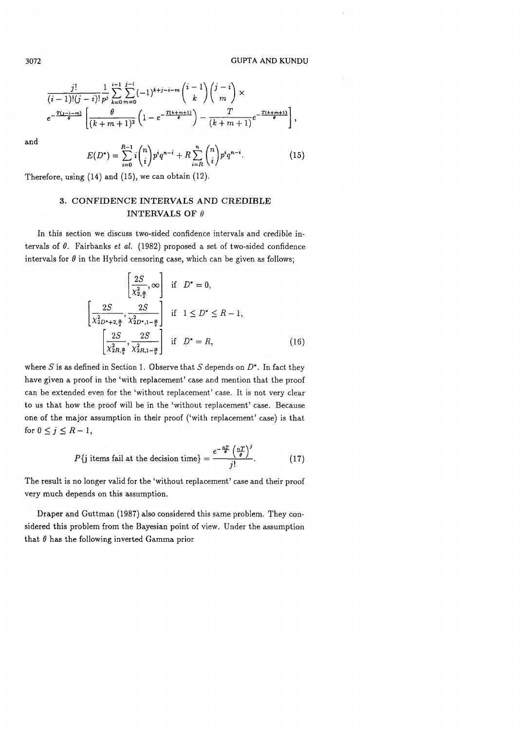$$
\frac{j!}{(i-1)!(j-i)!} \frac{1}{p^j} \sum_{k=0}^{i-1} \sum_{m=0}^{j-i} (-1)^{k+j-i-m} {i-1 \choose k} {j-i \choose m} \times
$$
\n
$$
e^{-\frac{T(j-i-m)}{6}} \left[ \frac{\theta}{(k+m+1)^2} \left(1 - e^{-\frac{T(k+m+1)}{6}}\right) - \frac{T}{(k+m+1)} e^{-\frac{T(k+m+1)}{6}} \right],
$$

and

$$
E(D^*) = \sum_{i=0}^{R-1} i \binom{n}{i} p^i q^{n-i} + R \sum_{i=R}^{n} \binom{n}{i} p^i q^{n-i}.
$$
 (15)

Therefore, using  $(14)$  and  $(15)$ , we can obtain  $(12)$ .

## 3. CONFIDENCE INTERVALS AND CREDIBLE INTERVALS OF  $\theta$

In this section we discuss two-sided confidence intervals and credible intervals of  $\theta$ . Fairbanks et al. (1982) proposed a set of two-sided confidence intervals for  $\theta$  in the Hybrid censoring case, which can be given as follows;

$$
\left[\frac{2S}{\chi_{2,\frac{\alpha}{2}}^2}, \infty\right] \text{ if } D^* = 0,
$$
  

$$
\left[\frac{2S}{\chi_{2D^*+2,\frac{\alpha}{2}}^2}, \frac{2S}{\chi_{2D^*,1-\frac{\alpha}{2}}^2}\right] \text{ if } 1 \le D^* \le R - 1,
$$
  

$$
\left[\frac{2S}{\chi_{2R,\frac{\alpha}{2}}^2}, \frac{2S}{\chi_{2R,1-\frac{\alpha}{2}}^2}\right] \text{ if } D^* = R,
$$
 (16)

where  $S$  is as defined in Section 1. Observe that  $S$  depends on  $D^*$ . In fact they have given a proof in the 'with replacement' case and mention that the proof can be extended even for the 'without replacement' case. It is not very clear to us that how the proof will be in the 'without replacement' case. Because one of the major assumption in their proof ('with replacement' case) is that for  $0 \leq j \leq R-1$ ,

$$
P\{\text{j items fail at the decision time}\} = \frac{e^{-\frac{nT}{\theta}} \left(\frac{nT}{\theta}\right)^j}{j!}.
$$
 (17)

The result is no longer valid for the 'without replacement' case and their proof very much depends on this assumption.

Draper and Guttman (1987) also considered this same problem. They considered this problem from the Bayesian point of view. Under the assumption that  $\theta$  has the following inverted Gamma prior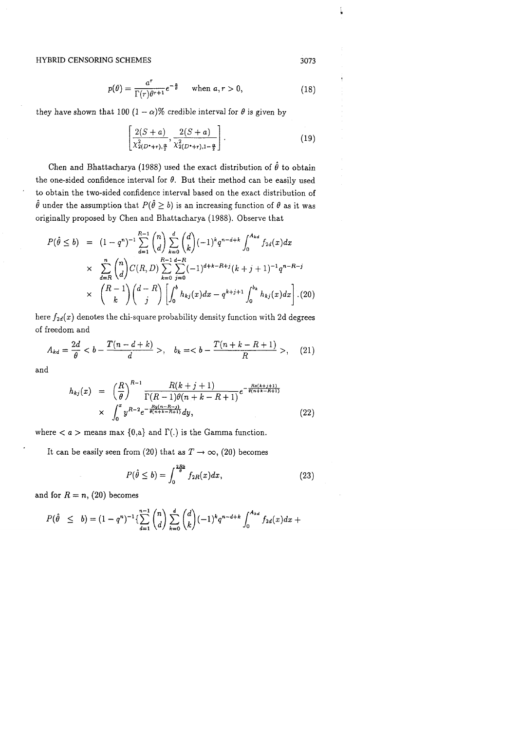$$
p(\theta) = \frac{a^r}{\Gamma(r)\theta^{r+1}} e^{-\frac{a}{\theta}} \quad \text{when } a, r > 0,
$$
 (18)

they have shown that 100  $(1 - \alpha)$ % credible interval for  $\theta$  is given by

$$
\left[\frac{2(S+a)}{\chi_{2(D^*+r),\frac{\alpha}{2}}^2}, \frac{2(S+a)}{\chi_{2(D^*+r),1-\frac{\alpha}{2}}^2}\right].
$$
\n(19)

Chen and Bhattacharya (1988) used the exact distribution of  $\hat{\theta}$  to obtain the one-sided confidence interval for  $\theta$ . But their method can be easily used to obtain the two-sided confidence interval based on the exact distribution of  $\hat{\theta}$  under the assumption that  $P(\hat{\theta} \ge b)$  is an increasing function of  $\theta$  as it was originally proposed by Chen and Bhattacharya (1988). Observe that

$$
P(\hat{\theta} \le b) = (1 - q^n)^{-1} \sum_{d=1}^{R-1} {n \choose d} \sum_{k=0}^d {d \choose k} (-1)^k q^{n-d+k} \int_0^{A_{kd}} f_{2d}(x) dx
$$
  
 
$$
\times \sum_{d=R}^n {n \choose d} C(R, D) \sum_{k=0}^{R-1} \sum_{j=0}^{d-R} (-1)^{d+k-R+j} (k+j+1)^{-1} q^{n-R-j}
$$
  
 
$$
\times {R-1 \choose k} {d-R \choose j} \left[ \int_0^b h_{kj}(x) dx - q^{k+j+1} \int_0^{b_k} h_{kj}(x) dx \right] (20)
$$

here  $f_{2d}(x)$  denotes the chi-square probability density function with 2d degrees of freedom and

$$
A_{kd} = \frac{2d}{\theta} < b - \frac{T(n - d + k)}{d} > , \quad b_k = < b - \frac{T(n + k - R + 1)}{R} > , \quad (21)
$$

and

$$
h_{kj}(x) = \left(\frac{R}{\theta}\right)^{R-1} \frac{R(k+j+1)}{\Gamma(R-1)\theta(n+k-R+1)} e^{-\frac{Rz(k+j+1)}{\theta(n+k-R+1)}}
$$
  
 
$$
\times \int_0^x y^{R-2} e^{-\frac{Ry(n-R-j)}{\theta(n+k-R+1)}} dy,
$$
 (22)

where  $\langle a \rangle$  means max  $\{0,a\}$  and  $\Gamma(.)$  is the Gamma function.

It can be easily seen from (20) that as  $T \to \infty$ , (20) becomes

$$
P(\hat{\theta} \le b) = \int_0^{\frac{2Rb}{\theta}} f_{2R}(x) dx, \qquad (23)
$$

and for  $R = n$ , (20) becomes

$$
P(\hat{\theta} \leq b) = (1 - q^n)^{-1} \left\{ \sum_{d=1}^{n-1} {n \choose d} \sum_{k=0}^d {d \choose k} (-1)^k q^{n-d+k} \int_0^{A_{kd}} f_{2d}(x) dx + \right\}
$$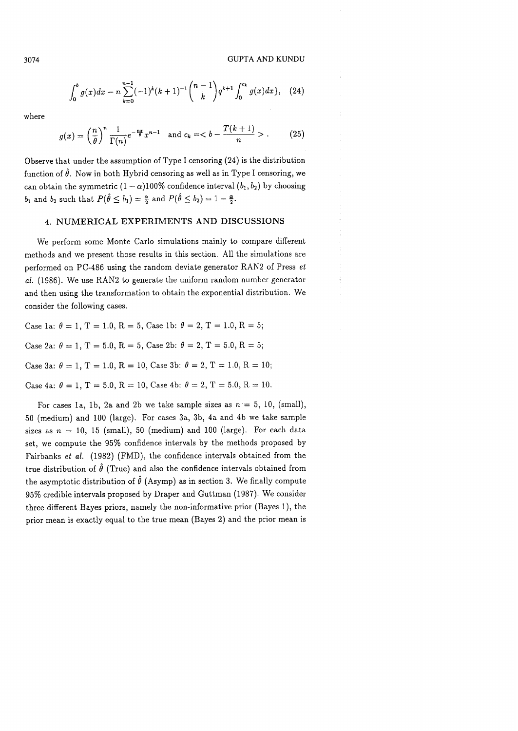$$
\int_0^b g(x)dx - n\sum_{k=0}^{n-1} (-1)^k (k+1)^{-1} \binom{n-1}{k} q^{k+1} \int_0^{c_k} g(x)dx, \quad (24)
$$

where

$$
g(x) = \left(\frac{n}{\theta}\right)^n \frac{1}{\Gamma(n)} e^{-\frac{nx}{\theta}} x^{n-1} \text{ and } c_k = - \frac{T(k+1)}{n} >.
$$
 (25)

Observe that under the assumption of Type I censoring (24) is the distribution function of  $\hat{\theta}$ . Now in both Hybrid censoring as well as in Type I censoring, we can obtain the symmetric  $(1 - \alpha)100\%$  confidence interval  $(b_1, b_2)$  by choosing  $b_1$  and  $b_2$  such that  $P(\hat{\theta} \le b_1) = \frac{\alpha}{2}$  and  $P(\hat{\theta} \le b_2) = 1 - \frac{\alpha}{2}$ .

#### 4. NUMERICAL EXPERIMENTS AND DISCUSSIONS

We perform some Monte Carlo simulations mainly to compare different methods and we present those results in this section. All the simulations are performed on PC-486 using the random deviate generator RAN2 of Press et al. (1986). We use RAN2 to generate the uniform random number generator and then using the transformation to obtain the exponential distribution. We consider the following cases.

Case 1a:  $\theta = 1$ , T = 1.0, R = 5, Case 1b:  $\theta = 2$ , T = 1.0, R = 5; Case 2a:  $\theta = 1, T = 5.0, R = 5,$  Case 2b:  $\theta = 2, T = 5.0, R = 5;$ Case 3a:  $\theta = 1$ , T = 1.0, R = 10, Case 3b:  $\theta = 2$ , T = 1.0, R = 10; Case 4a:  $\theta = 1$ , T = 5.0, R = 10, Case 4b:  $\theta = 2$ , T = 5.0, R = 10.

For cases 1a, 1b, 2a and 2b we take sample sizes as  $n = 5$ , 10, (small), 50 (medium) and 100 (large). For cases 3a, 3b, 4a and 4b we take sample sizes as  $n = 10$ , 15 (small), 50 (medium) and 100 (large). For each data set, we compute the 95% confidence intervals by the methods proposed by Fairbanks et *al.* (1982) (FMD), the confidence intervals obtained from the true distribution of  $\hat{\theta}$  (True) and also the confidence intervals obtained from the asymptotic distribution of  $\hat{\theta}$  (Asymp) as in section 3. We finally compute 95% credible intervals proposed by Draper and Guttman (1987). We consider three different Bayes priors, namely the non-informative prior (Bayes l), the prior mean is exactly equal to the true mean (Bayes **2)** and the prior mean is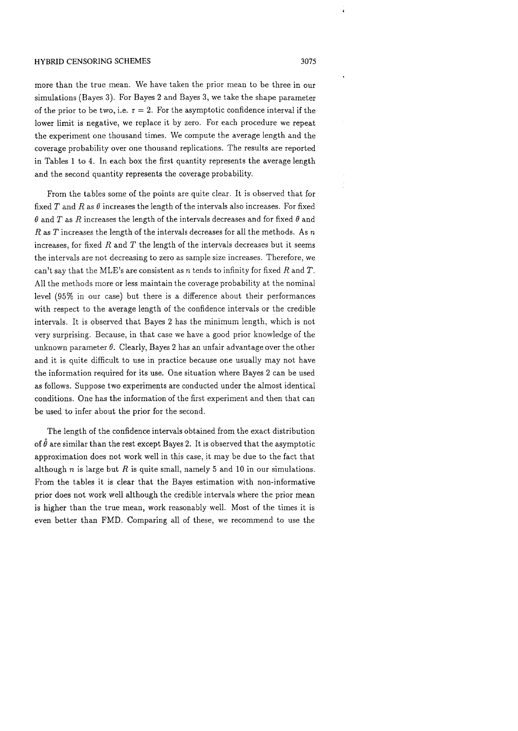more than the true mean. We have taken the prior mean to be three in our simulations (Bayes 3). For Bayes 2 and Bayes 3, we take the shape parameter of the prior to be two, i.e.  $r = 2$ . For the asymptotic confidence interval if the lower limit is negative, we replace it by zero. For each procedure we repeat the experiment one thousand times. We compute the average length and the coverage probability over one thousand replications. The results are reported in Tables 1 to 4. In each box the first quantity represents the average length and the second quantity represents the coverage probability.

From the tables some of the points are quite clear. It is observed that for fixed T and R as  $\theta$  increases the length of the intervals also increases. For fixed  $\theta$  and  $T$  as  $R$  increases the length of the intervals decreases and for fixed  $\theta$  and *R* as T increases the length of the intervals decreases for all the methods. As n increases, for fixed  $R$  and  $T$  the length of the intervals decreases but it seems the intervals are not decreasing to zero as sample size increases. Therefore, we can't say that the MLE's are consistent as  $n$  tends to infinity for fixed  $R$  and  $T$ . All the methods more or less maintain the coverage probability at the nominal level (95% in our case) but there is a difference about their performances with respect to the average length of the confidence intervals or the credible intervals. It is observed that Bayes 2 has the minimum length, which is not very surprising. Because, in that case we have a good prior knowledge of the unknown parameter  $\theta$ . Clearly, Bayes 2 has an unfair advantage over the other and it is quite difficult to use in practice because one usually may not have the information required for its use. One situation where Bayes 2 can be used as follows. Suppose two experiments are conducted under the almost identical conditions. One has the information of the first experiment and then that can be used to infer about the prior for the second.

The length of the confidence intervals obtained from the exact distribution of  $\hat{\theta}$  are similar than the rest except Bayes 2. It is observed that the asymptotic approximation does not work well in this case, it may be due to the fact that although n is large but R is quite small, namely *5* and 10 in our simulations. From the tables it is clear that the Bayes estimation with non-informative prior does not work well although the credible intervals where the prior mean is higher than the true mean, work reasonably well. Most of the times it is even better than FMD. Comparing all of these, we recommend to use the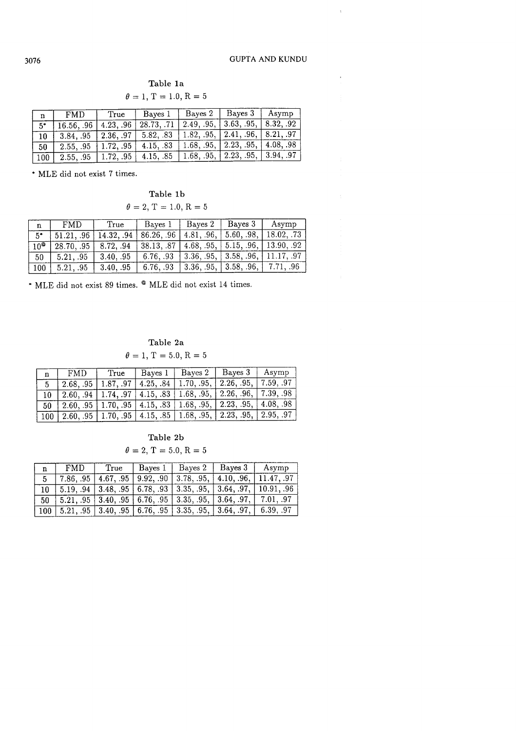$\bar{t}$ 

## Table la

| $\theta = 1, T = 1.0, R = 5$ |
|------------------------------|
|------------------------------|

| n    | FMD.      | True      | Baves 1    | Baves 2    | Bayes $3$   Asymp                   |         |
|------|-----------|-----------|------------|------------|-------------------------------------|---------|
| $5*$ | 16.5696   | 4.2396    | 28.73, .71 | 2.49, .95, | $\vert 3.63, .95, \vert$            | 8.32.92 |
|      | 3.84. .95 | 2.36, .97 | 5.82, 83   |            | 1.82, .95,   2.41, .96,   8.21, .97 |         |
| 50   | 2.55. .95 | 1.72, .95 | 4.15, .83  |            | 1.68, .95,   2.23, .95,   4.08, .98 |         |
| 100  | 2.55, 95  | 1.7295    | 4.15, .85  |            | 1.68, .95, 2.23, .95, 3.94, .97     |         |

\* MLE did not exist 7 times.

## Table lb

$$
\theta = 2, T = 1.0, R = 5
$$

| $\mathbf{n} \rightarrow$                                    | <b>FMD</b>                                                                                                                                | True                      | Bayes 1                                                                                   | $ $ Bayes 2 | $ $ Bayes 3 | Asymp |  |  |
|-------------------------------------------------------------|-------------------------------------------------------------------------------------------------------------------------------------------|---------------------------|-------------------------------------------------------------------------------------------|-------------|-------------|-------|--|--|
| $\overline{5^*}$                                            |                                                                                                                                           |                           | $51.21, .96$   $14.32, .94$   $86.26, .96$   $4.81, .96$ ,   $5.60, .98$ ,   $18.02, .73$ |             |             |       |  |  |
| $\sqrt{10^{\circ}}$                                         |                                                                                                                                           |                           | 28.70, .95   8.72, .94   38.13, .87   4.68, .95,   5.15, .96,   13.90, .92                |             |             |       |  |  |
| - 50                                                        |                                                                                                                                           | $5.21, .95$   $3.40, .95$ | $6.76, .93$   $3.36, .95$ ,   $3.58, .96$ ,   11.17, .97                                  |             |             |       |  |  |
|                                                             | $\boxed{100}$ $\boxed{5.21, .95}$ $\boxed{3.40, .95}$ $\boxed{6.76, .93}$ $\boxed{3.36, .95}$ , $\boxed{3.58, .96}$ , $\boxed{7.71, .96}$ |                           |                                                                                           |             |             |       |  |  |
|                                                             |                                                                                                                                           |                           |                                                                                           |             |             |       |  |  |
| * MLE did not exist 89 times. ® MLE did not exist 14 times. |                                                                                                                                           |                           |                                                                                           |             |             |       |  |  |

## Table 2a

 $\theta = 1, T = 5.0, R = 5$ 

|    | FMD. | True                    | Bayes 1   Bayes 2 | Bayes 3   Asymp                                                                     |  |
|----|------|-------------------------|-------------------|-------------------------------------------------------------------------------------|--|
|    |      | $2.68, .95$   1.87, .97 |                   | 4.25, .84   1.70, .95,   2.26, .95,   7.59, .97                                     |  |
|    |      |                         |                   | $12.60, .94$   1.74, .97   4.15, .83   1.68, .95,   2.26, .96,   7.39, .98          |  |
| 50 |      |                         |                   | $2.60, .95$   $1.70, .95$   $4.15, .83$   $1.68, .95,$   $2.23, .95,$   $4.08, .98$ |  |
|    |      |                         |                   | 100   2.60, 95   1.70, 95   4.15, 85   1.68, 95,   2.23, 95,   2.95, 97             |  |

## Table 2b

 $\theta = 2, T = 5.0, R = 5$ 

| n. | FMD      | True | Baves 1   Baves 2   Baves 3   Asymp                                                            |                                       |  |
|----|----------|------|------------------------------------------------------------------------------------------------|---------------------------------------|--|
|    | 17.86.95 |      | 4.67, .95   9.92, .90   3.78, .95,                                                             | $\vert$ 4.10, .96, $\vert$ 11.47, .97 |  |
|    |          |      | $\vert 5.19, .94 \vert 3.48, .95 \vert 6.78, .93 \vert 3.35, .95, 3.64, .97, 10.91, .96 \vert$ |                                       |  |
|    |          |      | $50$   $5.21, .95$   $3.40, .95$   $6.76, .95$   $3.35, .95$ ,   $3.64, .97$ ,   $7.01, .97$   |                                       |  |
|    |          |      | $100$   5.21, .95   3.40, .95   6.76, .95   3.35, .95,   3.64, .97,   6.39, .97                |                                       |  |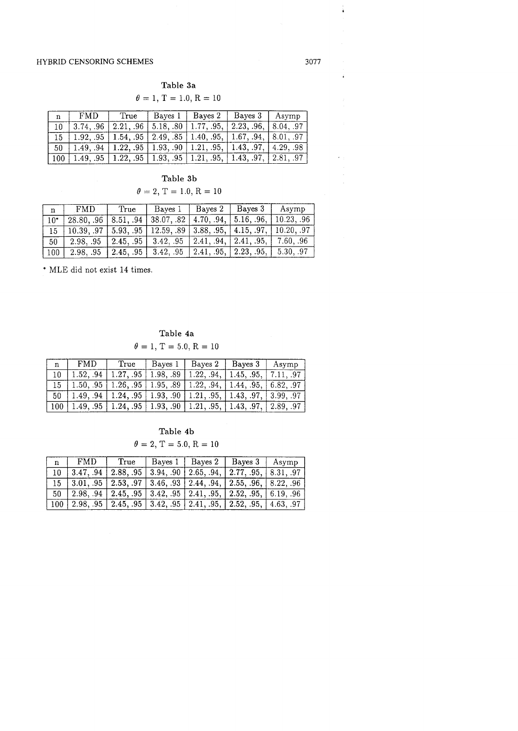| Table 3a                      |
|-------------------------------|
| $\theta = 1, T = 1.0, R = 10$ |

| n   | FMD       | True      | Bayes $1 \mid$ Bayes 2                                                    | $ $ Bayes 3                                                                              | Asymp    |
|-----|-----------|-----------|---------------------------------------------------------------------------|------------------------------------------------------------------------------------------|----------|
|     | 3.7496    | 2.21, .96 | $\vert 5.18, .80 \vert 1.77, .95, \vert 2.23, .96, \vert$                 |                                                                                          | 8.0497   |
|     | 1.92. .95 |           | $1.54, .95 \mid 2.49, .85 \mid 1.40, .95, \mid 1.67, .94,$                |                                                                                          | 8.01, 97 |
| -50 |           |           | $1.49, .94 \mid 1.22, .95 \mid 1.93, .90 \mid 1.21, .95, \mid 1.43, .97,$ |                                                                                          | 4.2998   |
|     |           |           |                                                                           | $1.49, .95 \mid 1.22, .95 \mid 1.93, .95 \mid 1.21, .95, \mid 1.43, .97, \mid 2.81, .97$ |          |

Table 3b

## $\theta = 2, T = 1.0, R = 10$

| $\mathbf n$ | <b>FMD</b>                                                                                                                     | True | Bayes $1 \mid$                                                                           | Baves 2   Baves 3 | Asymp  |
|-------------|--------------------------------------------------------------------------------------------------------------------------------|------|------------------------------------------------------------------------------------------|-------------------|--------|
|             |                                                                                                                                |      | $28.80, .96$   $8.51, .94$   $38.07, .82$   $4.70, .94$ ,   $5.16, .96$ ,   $10.23, .96$ |                   |        |
|             | $\boxed{10.39, .97}$ $\boxed{5.93, .95}$ $\boxed{12.59, .89}$ $\boxed{3.88, .95}$ , $\boxed{4.15, .97}$ , $\boxed{10.20, .97}$ |      |                                                                                          |                   |        |
| 50          |                                                                                                                                |      | $2.98, .95$   $2.45, .95$   $3.42, .95$   $2.41, .94$ ,   $2.41, .95$ ,                  |                   | 7.6096 |
| 100         |                                                                                                                                |      | 2.98, .95   2.45, .95   3.42, .95   2.41, .95,   2.23, .95,   5.30, .97                  |                   |        |

\* MLE did not exist 14 times.

Table 4a  $\theta = 1, T = 5.0, R = 10$ 

| $n \pm$ | FMD. | True l | Bayes $1$   Bayes $2$ | Bayes 3   Asymp                                                                       |  |
|---------|------|--------|-----------------------|---------------------------------------------------------------------------------------|--|
| $10 -$  |      |        |                       | $1.52, .94$   $1.27, .95$   $1.98, .89$   $1.22, .94$ ,   $1.45, .95$ ,   $7.11, .97$ |  |
|         |      |        |                       | $15$   1.50, .95   1.26, .95   1.95, .89   1.22, .94,   1.44, .95,   6.82, .97        |  |
|         |      |        |                       | $50$   1.49, .94   1.24, .95   1.93, .90   1.21, .95,   1.43, .97,   3.99, .97        |  |
|         |      |        |                       | $100$   1.49, .95   1.24, .95   1.93, .90   1.21, .95,   1.43, .97,   2.89, .97       |  |

## Table 4b

 $\theta = 2, T = 5.0, R = 10$ 

| $n \mid$ | FMD. |  | True   Bayes 1   Bayes 2   Bayes 3   Asymp                                                |  |
|----------|------|--|-------------------------------------------------------------------------------------------|--|
|          |      |  | $\overline{10}$   3.47, .94   2.88, .95   3.94, .90   2.65, .94,   2.77, .95,   8.31, .97 |  |
|          |      |  |                                                                                           |  |
|          |      |  | $50$   2.98, 94   2.45, 95   3.42, 95   2.41, 95,   2.52, 95,   6.19, 96                  |  |
|          |      |  | 100   2.98, .95   2.45, .95   3.42, .95   2.41, .95,   2.52, .95,   4.63, .97             |  |

 $\frac{1}{4}$ 

 $\hat{\pmb{\epsilon}}$ 

 $\mathcal{L}^{\pm}$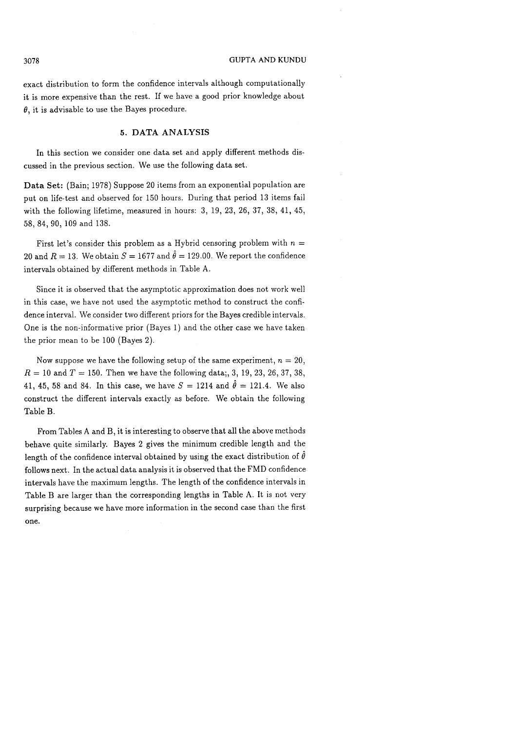exact distribution to form the confidence intervals although computationally it is more expensive than the rest. If we have a good prior knowledge about  $\theta$ , it is advisable to use the Bayes procedure.

## **5. DATA ANALYSIS**

In this section we consider one data set and apply different methods discussed in the previous section. We use the following data set.

**Data** Set: (Bain; 1978) Suppose 20 items from an exponential population are put on life-test and observed for 150 hours. During that period 13 items fail with the following lifetime, measured in hours: **3,** 19, 23, 26, 37, 38, 41, 45, 58,84,90, 109 and 138.

First let's consider this problem as a Hybrid censoring problem with  $n =$ 20 and  $R = 13$ . We obtain  $S = 1677$  and  $\hat{\theta} = 129.00$ . We report the confidence intervals obtained by different methods in Table A.

Since it is observed that the asymptotic approximation does not work well in this case, we have not used the asymptotic method to construct the confidence interval. We consider two different priors for the Bayes credible intervals. One is the non-informative prior (Bayes 1) and the other case we have taken the prior mean to be 100 (Bayes 2).

Now suppose we have the following setup of the same experiment,  $n = 20$ ,  $R = 10$  and  $T = 150$ . Then we have the following data;, 3, 19, 23, 26, 37, 38, 41, 45, 58 and 84. In this case, we have  $S = 1214$  and  $\hat{\theta} = 121.4$ . We also construct the different intervals exactly as before. We obtain the following Table B.

From Tables **A** and B, it is interesting to observe that all the above methods behave quite similarly. Bayes 2 gives the minimum credible length and the length of the confidence interval obtained by using the exact distribution of  $\hat{\theta}$ follows next. In the actual data analysis it is observed that the FMD confidence intervals have the maximum lengths. The length of the confidence intervals in Table B are larger than the corresponding lengths in Table A. It is not very surprising because we have more information in the second case than the first one.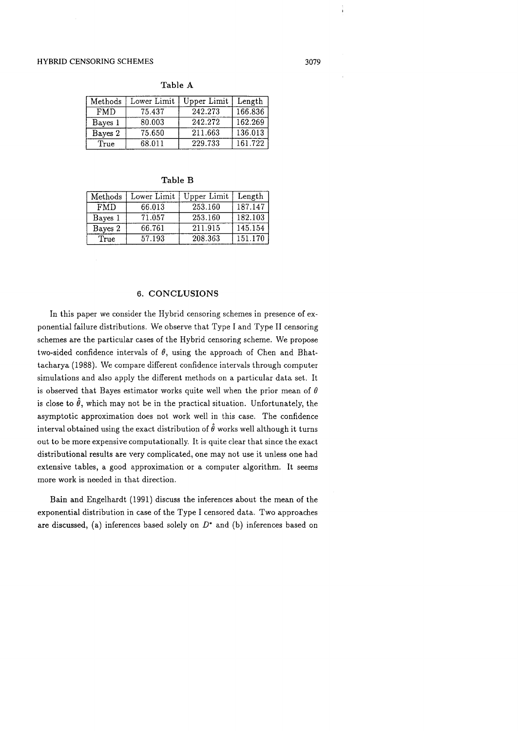Methods Lower Limit | Upper Limit | Length FMD 75.437 242.273 166.836 Bayes 1 Bayes 2 **True** 162.269 136.013 161.722 80.003 75.650 68.011 242.272 211.663 229.733

Table A

| Methods    | Lower Limit | Upper Limit | Length  |
|------------|-------------|-------------|---------|
| <b>FMD</b> | 66.013      | 253.160     | 187.147 |
| Bayes 1    | 71.057      | 253.160     | 182.103 |
| Bayes 2    | 66.761      | 211.915     | 145.154 |
| True       | 57.193      | 208.363     | 151.170 |

## **6.** CONCLUSIONS

In this paper we consider the Hybrid censoring schemes in presence of exponential failure distributions. We observe that Type I and Type I1 censoring schemes are the particular cases of the Hybrid censoring scheme. We propose two-sided confidence intervals of  $\theta$ , using the approach of Chen and Bhattacharya (1988). We compare different confidence intervals through computer simulations and also apply the different methods on a particular data set. It is observed that Bayes estimator works quite well when the prior mean of  $\theta$ is close to  $\hat{\theta}$ , which may not be in the practical situation. Unfortunately, the asymptotic approximation does not work well in this case. The confidence interval obtained using the exact distribution of  $\hat{\theta}$  works well although it turns out to be more expensive computationally. It is quite clear that since the exact distributional results are very complicated, one may not use it unless one had extensive tables, a good approximation or a computer algorithm. It seems more work is needed in that direction.

Bain and Engelhardt (1991) discuss the inferences about the mean of the exponential distribution in case of the Type I censored data. Two approaches are discussed, (a) inferences based solely on  $D^*$  and (b) inferences based on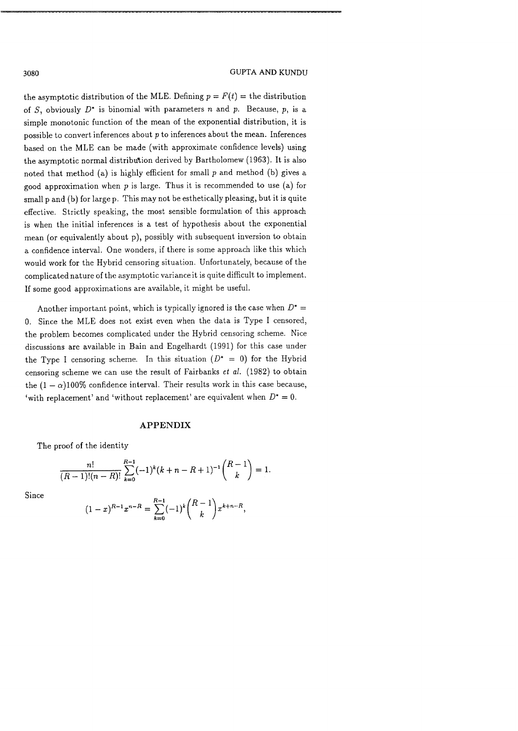the asymptotic distribution of the MLE. Defining  $p = F(t) =$  the distribution of S, obviously  $D^*$  is binomial with parameters n and p. Because, p, is a simple monotonic function of the mean of the exponential distribution, it is possible to convert inferences about  $p$  to inferences about the mean. Inferences based on the MLE can be made (with approximate confidence levels) using the asymptotic normal distribution derived by Bartholomew (1963). It is also noted that method (a) is highly efficient for small  $p$  and method (b) gives a good approximation when  $p$  is large. Thus it is recommended to use (a) for small p and (b) for large p. This may not be esthetically pleasing, but it is quite effective. Strictly speaking, the most sensible formulation of this approach is when the initial inferences is a test of hypothesis about the exponential mean (or equivalently about p), possibly with subsequent inversion to obtain a confidence interval. One wonders, if there is some approach like this which would work for the Hybrid censoring situation. Unfortunately, because of the complicatednature of the asymptotic varianceit is quite difficult to implement. If some good approximations are available, it might be useful.

Another important point, which is typically ignored is the case when  $D^* =$ 0. Since the MLE does not exist even when the data is Type I censored, the problem becomes complicated under the Hybrid censoring scheme. Nice discussions are available in Bain and Engelhardt (1991) for this case under the Type I censoring scheme. In this situation  $(D^* = 0)$  for the Hybrid censoring scheme we can use the result of Fairbanks et *al.* (1982) to obtain the  $(1 - \alpha)100\%$  confidence interval. Their results work in this case because, 'with replacement' and 'without replacement' are equivalent when  $D^* = 0$ .

#### **APPENDIX**

The proof of the identity

$$
\frac{n!}{(R-1)!(n-R)!} \sum_{k=0}^{R-1} (-1)^k (k+n-R+1)^{-1} \binom{R-1}{k} = 1.
$$

Since

$$
(1-x)^{R-1}x^{n-R} = \sum_{k=0}^{R-1} (-1)^k \binom{R-1}{k} x^{k+n-R},
$$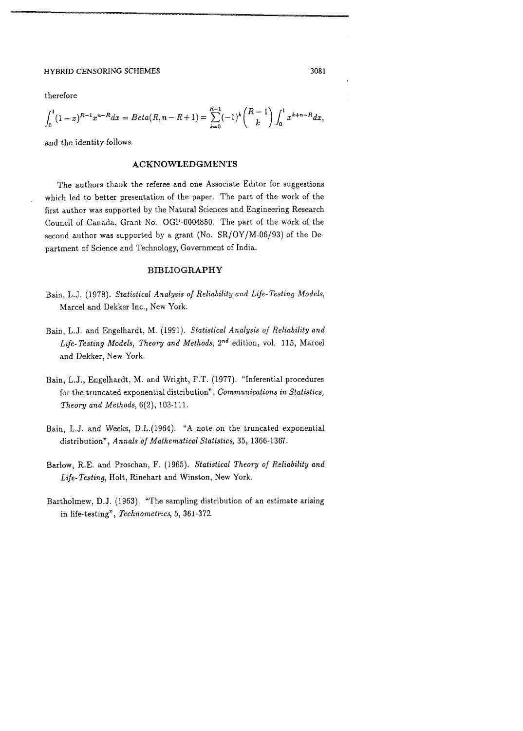therefore

$$
\int_0^1 (1-x)^{R-1} x^{n-R} dx = Beta(R, n - R + 1) = \sum_{k=0}^{R-1} (-1)^k {R-1 \choose k} \int_0^1 x^{k+n-R} dx,
$$

and the identity follows.

## **ACKNOWLEDGMENTS**

The authors thank the referee and one Associate Editor for suggestions which led to better presentation of the paper. The part of the work of the first author was supported by the Natural Sciences and Engineering Research Council of Canada, Grant No. OGP-0004850. The part of the work of the second author was supported by a grant (No. SR/OY/M-06/93) of the Department of Science and Technology, Government of India.

## **BIBLIOGRAPHY**

- Bain, L.J. (1978). Statistical Analysis of Reliability and Life-Testing Models, Marcel and Dekker Inc., New York.
- Bain, L.J. and Engelhardt, M. (1991). Statistical Analysis of Reliability and Life-Testing Models, Theory and Methods,  $2^{nd}$  edition, vol. 115, Marcel and Dekker, New York.
- Bain, L.J., Engelhardt, M. and Wright, F.T. (1977). "Inferential procedures for the truncated exponential distribution", Communications in Statistics, Theory and Methods, 6(2), 103-111.
- Bain, L.J. and Weeks, D.L.(1964). **"A** note on the truncated exponential distribution", Annals of Mathematical Statistics, 35, 1366-1367.
- Barlow, R.E. and Proschan, F. (1965). Statistical Theory of Reliability and Life-Testing, Holt, Rinehart and Winston, New York.
- Bartholmew, D.J. (1963). "The sampling distribution of an estimate arising in life-testing", Technometrics, **5,** 361-372.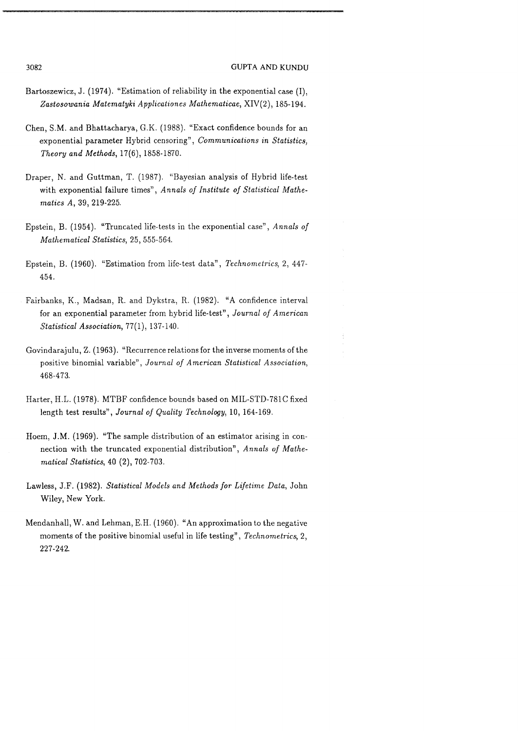#### 3082 **GUPTA AND KUNDU**

- Bartoszewicz, J. (1974). "Estimation of reliability in the exponential case (I), Zastosowania Matematyki Applicationes Mathematicae, XIV(2), 185-194.
- Chen, S.M. and Bhattacharya, G.K. (1988). "Exact confidence bounds for an exponential parameter Hybrid censoring", Communications in Statistics, Theory and Methods, 17(6), 1858-1870.
- Draper, N. and Guttman, T. (1987). "Bayesian analysis of Hybrid life-test with exponential failure times", Annals of Institute of Statistical Mathematics A, 39, 219-225.
- Epstein, B. (1954). "Truncated life-tests in the exponential case", Annals of Mathematical Statistics, 25, 555-564.
- Epstein, B. (1960). "Estimation from life-test data", Technometrics, 2, 447- 454.
- Fairbanks, K., Madsan, R. and Dykstra, R. (1982). "A confidence interval for an exponential parameter from hybrid life-test", Journal of American Statistical Association, 77(1), 137-140.
- Govindarajulu, Z. (1963). "Recurrence relations for the inverse moments of the positive binomial variable", Journal of American Statistical Association, 468-473.
- Harter, H.L. (1978). MTBF confidence bounds based on MIL-STD-781C fixed length test results", Journal of Quality Technology, 10, 164-169.
- Hoem, J.M. (1969). "The sample distribution of an estimator arising in connection with the truncated exponential distribution", Annals of Mathematical Statistics, 40 (2), 702-703.
- Lawless, J.F. (1982). Statistical Models and Methods for Lifetime Data, John Wiley, New York.
- Mendanhall, W. and Lehman, E.H. (1960). "An approximation to the negative moments of the positive binomial useful in life testing", Technometrics, 2, 227-242.